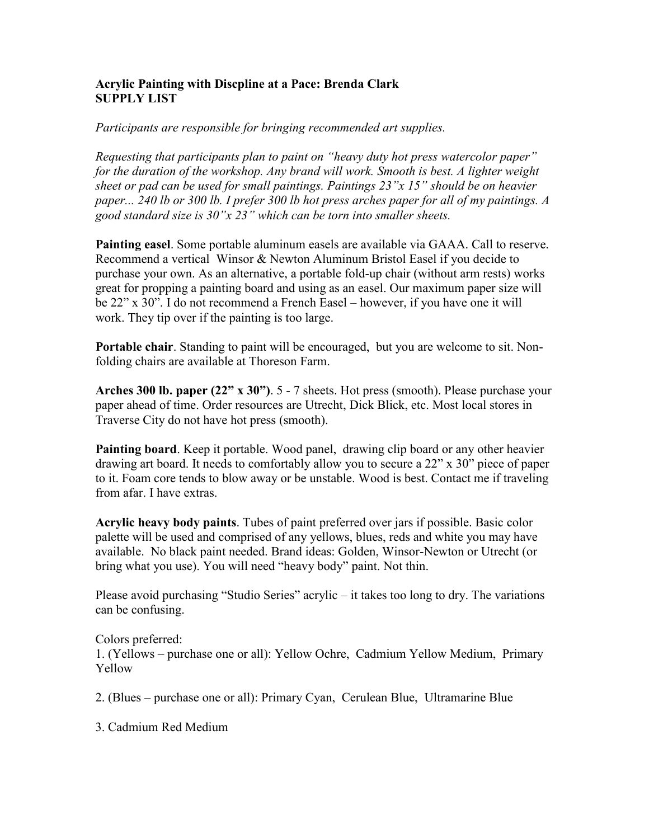## **Acrylic Painting with Discpline at a Pace: Brenda Clark SUPPLY LIST**

*Participants are responsible for bringing recommended art supplies.* 

*Requesting that participants plan to paint on "heavy duty hot press watercolor paper" for the duration of the workshop. Any brand will work. Smooth is best. A lighter weight sheet or pad can be used for small paintings. Paintings 23"x 15" should be on heavier paper... 240 lb or 300 lb. I prefer 300 lb hot press arches paper for all of my paintings. A good standard size is 30"x 23" which can be torn into smaller sheets.* 

**Painting easel**. Some portable aluminum easels are available via GAAA. Call to reserve. Recommend a vertical Winsor & Newton Aluminum Bristol Easel if you decide to purchase your own. As an alternative, a portable fold-up chair (without arm rests) works great for propping a painting board and using as an easel. Our maximum paper size will be 22" x 30". I do not recommend a French Easel – however, if you have one it will work. They tip over if the painting is too large.

**Portable chair**. Standing to paint will be encouraged, but you are welcome to sit. Nonfolding chairs are available at Thoreson Farm.

**Arches 300 lb. paper (22" x 30")**. 5 - 7 sheets. Hot press (smooth). Please purchase your paper ahead of time. Order resources are Utrecht, Dick Blick, etc. Most local stores in Traverse City do not have hot press (smooth).

**Painting board**. Keep it portable. Wood panel, drawing clip board or any other heavier drawing art board. It needs to comfortably allow you to secure a 22" x 30" piece of paper to it. Foam core tends to blow away or be unstable. Wood is best. Contact me if traveling from afar. I have extras.

**Acrylic heavy body paints**. Tubes of paint preferred over jars if possible. Basic color palette will be used and comprised of any yellows, blues, reds and white you may have available. No black paint needed. Brand ideas: Golden, Winsor-Newton or Utrecht (or bring what you use). You will need "heavy body" paint. Not thin.

Please avoid purchasing "Studio Series" acrylic – it takes too long to dry. The variations can be confusing.

Colors preferred:

1. (Yellows – purchase one or all): Yellow Ochre, Cadmium Yellow Medium, Primary Yellow

2. (Blues – purchase one or all): Primary Cyan, Cerulean Blue, Ultramarine Blue

3. Cadmium Red Medium